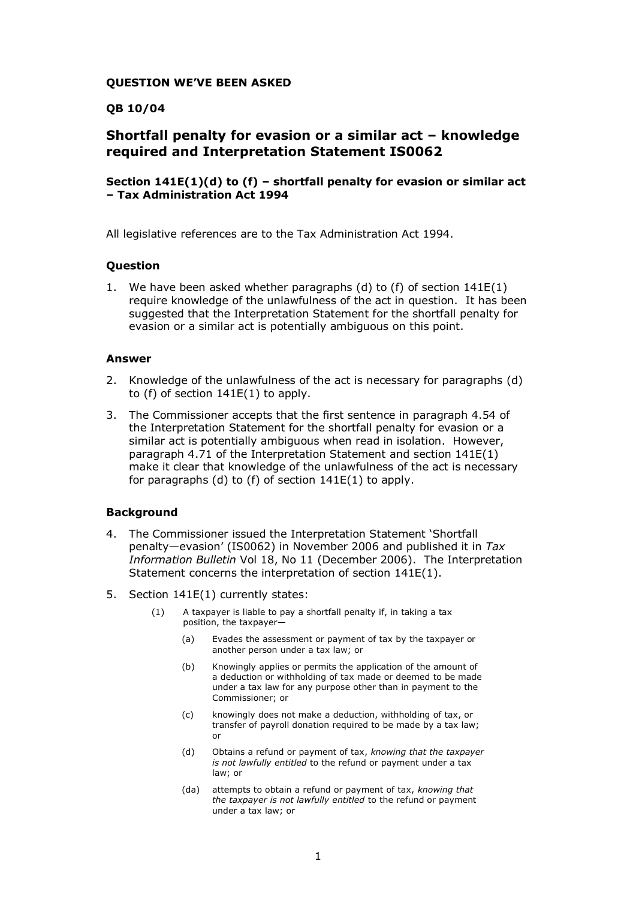## **QUESTION WE'VE BEEN ASKED**

## **QB 10/04**

# **Shortfall penalty for evasion or a similar act – knowledge required and Interpretation Statement IS0062**

## **Section 141E(1)(d) to (f) – shortfall penalty for evasion or similar act – Tax Administration Act 1994**

All legislative references are to the Tax Administration Act 1994.

#### **Question**

1. We have been asked whether paragraphs (d) to (f) of section 141E(1) require knowledge of the unlawfulness of the act in question. It has been suggested that the Interpretation Statement for the shortfall penalty for evasion or a similar act is potentially ambiguous on this point.

#### **Answer**

- 2. Knowledge of the unlawfulness of the act is necessary for paragraphs (d) to  $(f)$  of section  $141E(1)$  to apply.
- 3. The Commissioner accepts that the first sentence in paragraph 4.54 of the Interpretation Statement for the shortfall penalty for evasion or a similar act is potentially ambiguous when read in isolation. However, paragraph 4.71 of the Interpretation Statement and section 141E(1) make it clear that knowledge of the unlawfulness of the act is necessary for paragraphs (d) to (f) of section 141E(1) to apply.

#### **Background**

- 4. The Commissioner issued the Interpretation Statement 'Shortfall penalty—evasion' (IS0062) in November 2006 and published it in *Tax Information Bulletin* Vol 18, No 11 (December 2006). The Interpretation Statement concerns the interpretation of section 141E(1).
- 5. Section 141E(1) currently states:
	- (1) A taxpayer is liable to pay a shortfall penalty if, in taking a tax position, the taxpayer—
		- (a) Evades the assessment or payment of tax by the taxpayer or another person under a tax law; or
		- (b) Knowingly applies or permits the application of the amount of a deduction or withholding of tax made or deemed to be made under a tax law for any purpose other than in payment to the Commissioner; or
		- (c) knowingly does not make a deduction, withholding of tax, or transfer of payroll donation required to be made by a tax law; or
		- (d) Obtains a refund or payment of tax, *knowing that the taxpayer is not lawfully entitled* to the refund or payment under a tax law; or
		- (da) attempts to obtain a refund or payment of tax, *knowing that the taxpayer is not lawfully entitled* to the refund or payment under a tax law; or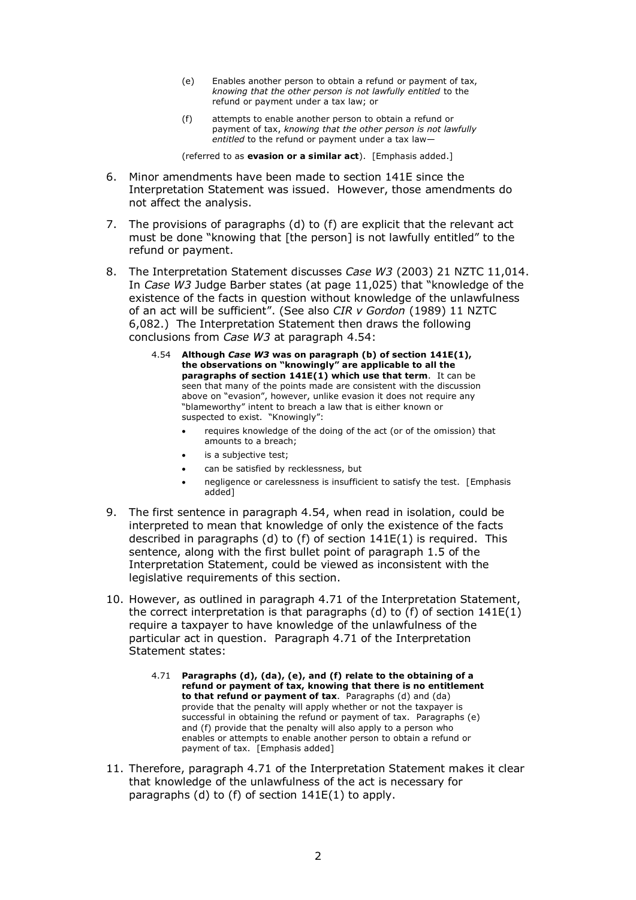- (e) Enables another person to obtain a refund or payment of tax, *knowing that the other person is not lawfully entitled* to the refund or payment under a tax law; or
- (f) attempts to enable another person to obtain a refund or payment of tax, *knowing that the other person is not lawfully entitled* to the refund or payment under a tax law—

(referred to as **evasion or a similar act**). [Emphasis added.]

- 6. Minor amendments have been made to section 141E since the Interpretation Statement was issued. However, those amendments do not affect the analysis.
- 7. The provisions of paragraphs (d) to (f) are explicit that the relevant act must be done "knowing that [the person] is not lawfully entitled" to the refund or payment.
- 8. The Interpretation Statement discusses *Case W3* (2003) 21 NZTC 11,014. In *Case W3* Judge Barber states (at page 11,025) that "knowledge of the existence of the facts in question without knowledge of the unlawfulness of an act will be sufficient". (See also *CIR v Gordon* (1989) 11 NZTC 6,082.) The Interpretation Statement then draws the following conclusions from *Case W3* at paragraph 4.54:
	- 4.54 **Although** *Case W3* **was on paragraph (b) of section 141E(1), the observations on "knowingly" are applicable to all the paragraphs of section 141E(1) which use that term.** It can be seen that many of the points made are consistent with the discussion above on "evasion", however, unlike evasion it does not require any "blameworthy" intent to breach a law that is either known or suspected to exist. "Knowingly":
		- requires knowledge of the doing of the act (or of the omission) that amounts to a breach;
		- is a subjective test;
		- can be satisfied by recklessness, but
		- negligence or carelessness is insufficient to satisfy the test. [Emphasis added]
- 9. The first sentence in paragraph 4.54, when read in isolation, could be interpreted to mean that knowledge of only the existence of the facts described in paragraphs (d) to (f) of section 141E(1) is required. This sentence, along with the first bullet point of paragraph 1.5 of the Interpretation Statement, could be viewed as inconsistent with the legislative requirements of this section.
- 10. However, as outlined in paragraph 4.71 of the Interpretation Statement, the correct interpretation is that paragraphs (d) to (f) of section  $141E(1)$ require a taxpayer to have knowledge of the unlawfulness of the particular act in question. Paragraph 4.71 of the Interpretation Statement states:
	- 4.71 **Paragraphs (d), (da), (e), and (f) relate to the obtaining of a refund or payment of tax, knowing that there is no entitlement to that refund or payment of tax**. Paragraphs (d) and (da) provide that the penalty will apply whether or not the taxpayer is successful in obtaining the refund or payment of tax. Paragraphs (e) and (f) provide that the penalty will also apply to a person who enables or attempts to enable another person to obtain a refund or payment of tax. [Emphasis added]
- 11. Therefore, paragraph 4.71 of the Interpretation Statement makes it clear that knowledge of the unlawfulness of the act is necessary for paragraphs (d) to (f) of section 141E(1) to apply.